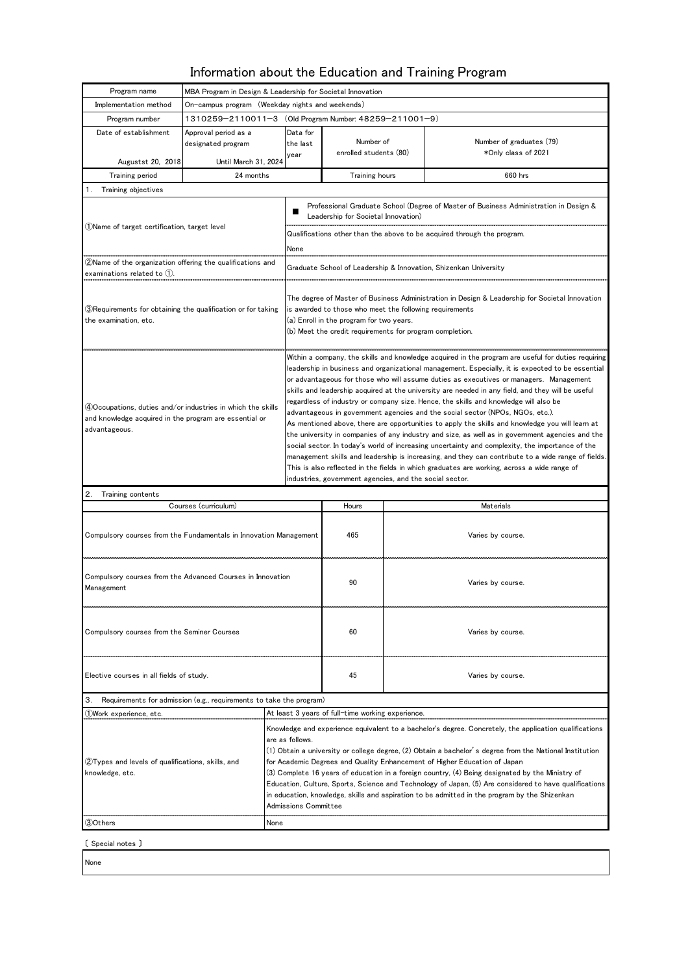## Information about the Education and Training Program

| Program name                                                                                                                           | MBA Program in Design & Leadership for Societal Innovation                                                                                                                                                                                                                                                                                                                                                                                                                                                                                                                                                                                               |                                                                                                                                                                                                                                                                                                                                                                                                                                                                                                                                                                                                                                                                                                                                                                                                                                                                                                                                                                                                                                                                                                                                                       |                                                                                                                              |           |                                                 |  |  |  |  |  |
|----------------------------------------------------------------------------------------------------------------------------------------|----------------------------------------------------------------------------------------------------------------------------------------------------------------------------------------------------------------------------------------------------------------------------------------------------------------------------------------------------------------------------------------------------------------------------------------------------------------------------------------------------------------------------------------------------------------------------------------------------------------------------------------------------------|-------------------------------------------------------------------------------------------------------------------------------------------------------------------------------------------------------------------------------------------------------------------------------------------------------------------------------------------------------------------------------------------------------------------------------------------------------------------------------------------------------------------------------------------------------------------------------------------------------------------------------------------------------------------------------------------------------------------------------------------------------------------------------------------------------------------------------------------------------------------------------------------------------------------------------------------------------------------------------------------------------------------------------------------------------------------------------------------------------------------------------------------------------|------------------------------------------------------------------------------------------------------------------------------|-----------|-------------------------------------------------|--|--|--|--|--|
| Implementation method                                                                                                                  | On-campus program (Weekday nights and weekends)                                                                                                                                                                                                                                                                                                                                                                                                                                                                                                                                                                                                          |                                                                                                                                                                                                                                                                                                                                                                                                                                                                                                                                                                                                                                                                                                                                                                                                                                                                                                                                                                                                                                                                                                                                                       |                                                                                                                              |           |                                                 |  |  |  |  |  |
| Program number                                                                                                                         | 1310259-2110011-3 (Old Program Number: 48259-211001-9)                                                                                                                                                                                                                                                                                                                                                                                                                                                                                                                                                                                                   |                                                                                                                                                                                                                                                                                                                                                                                                                                                                                                                                                                                                                                                                                                                                                                                                                                                                                                                                                                                                                                                                                                                                                       |                                                                                                                              |           |                                                 |  |  |  |  |  |
| Date of establishment                                                                                                                  | Approval period as a                                                                                                                                                                                                                                                                                                                                                                                                                                                                                                                                                                                                                                     | Data for                                                                                                                                                                                                                                                                                                                                                                                                                                                                                                                                                                                                                                                                                                                                                                                                                                                                                                                                                                                                                                                                                                                                              |                                                                                                                              |           |                                                 |  |  |  |  |  |
|                                                                                                                                        | designated program                                                                                                                                                                                                                                                                                                                                                                                                                                                                                                                                                                                                                                       | the last                                                                                                                                                                                                                                                                                                                                                                                                                                                                                                                                                                                                                                                                                                                                                                                                                                                                                                                                                                                                                                                                                                                                              | Number of<br>enrolled students (80)                                                                                          |           | Number of graduates (79)<br>*Only class of 2021 |  |  |  |  |  |
| Augustst 20, 2018                                                                                                                      | Until March 31, 2024                                                                                                                                                                                                                                                                                                                                                                                                                                                                                                                                                                                                                                     | year                                                                                                                                                                                                                                                                                                                                                                                                                                                                                                                                                                                                                                                                                                                                                                                                                                                                                                                                                                                                                                                                                                                                                  |                                                                                                                              |           |                                                 |  |  |  |  |  |
| Training period                                                                                                                        | 24 months                                                                                                                                                                                                                                                                                                                                                                                                                                                                                                                                                                                                                                                |                                                                                                                                                                                                                                                                                                                                                                                                                                                                                                                                                                                                                                                                                                                                                                                                                                                                                                                                                                                                                                                                                                                                                       | Training hours                                                                                                               |           | 660 hrs                                         |  |  |  |  |  |
| Training objectives<br>1.                                                                                                              |                                                                                                                                                                                                                                                                                                                                                                                                                                                                                                                                                                                                                                                          |                                                                                                                                                                                                                                                                                                                                                                                                                                                                                                                                                                                                                                                                                                                                                                                                                                                                                                                                                                                                                                                                                                                                                       |                                                                                                                              |           |                                                 |  |  |  |  |  |
| (1)Name of target certification, target level                                                                                          |                                                                                                                                                                                                                                                                                                                                                                                                                                                                                                                                                                                                                                                          |                                                                                                                                                                                                                                                                                                                                                                                                                                                                                                                                                                                                                                                                                                                                                                                                                                                                                                                                                                                                                                                                                                                                                       | Professional Graduate School (Degree of Master of Business Administration in Design &<br>Leadership for Societal Innovation) |           |                                                 |  |  |  |  |  |
|                                                                                                                                        |                                                                                                                                                                                                                                                                                                                                                                                                                                                                                                                                                                                                                                                          |                                                                                                                                                                                                                                                                                                                                                                                                                                                                                                                                                                                                                                                                                                                                                                                                                                                                                                                                                                                                                                                                                                                                                       | Qualifications other than the above to be acquired through the program.                                                      |           |                                                 |  |  |  |  |  |
|                                                                                                                                        |                                                                                                                                                                                                                                                                                                                                                                                                                                                                                                                                                                                                                                                          | None                                                                                                                                                                                                                                                                                                                                                                                                                                                                                                                                                                                                                                                                                                                                                                                                                                                                                                                                                                                                                                                                                                                                                  |                                                                                                                              |           |                                                 |  |  |  |  |  |
| ②Name of the organization offering the qualifications and                                                                              |                                                                                                                                                                                                                                                                                                                                                                                                                                                                                                                                                                                                                                                          |                                                                                                                                                                                                                                                                                                                                                                                                                                                                                                                                                                                                                                                                                                                                                                                                                                                                                                                                                                                                                                                                                                                                                       |                                                                                                                              |           |                                                 |  |  |  |  |  |
| examinations related to (1).                                                                                                           |                                                                                                                                                                                                                                                                                                                                                                                                                                                                                                                                                                                                                                                          | Graduate School of Leadership & Innovation, Shizenkan University                                                                                                                                                                                                                                                                                                                                                                                                                                                                                                                                                                                                                                                                                                                                                                                                                                                                                                                                                                                                                                                                                      |                                                                                                                              |           |                                                 |  |  |  |  |  |
| ③Requirements for obtaining the qualification or for taking<br>the examination, etc.                                                   |                                                                                                                                                                                                                                                                                                                                                                                                                                                                                                                                                                                                                                                          | The degree of Master of Business Administration in Design & Leadership for Societal Innovation<br>is awarded to those who meet the following requirements<br>(a) Enroll in the program for two years.<br>(b) Meet the credit requirements for program completion.                                                                                                                                                                                                                                                                                                                                                                                                                                                                                                                                                                                                                                                                                                                                                                                                                                                                                     |                                                                                                                              |           |                                                 |  |  |  |  |  |
| 4)Occupations, duties and/or industries in which the skills<br>and knowledge acquired in the program are essential or<br>advantageous. |                                                                                                                                                                                                                                                                                                                                                                                                                                                                                                                                                                                                                                                          | Within a company, the skills and knowledge acquired in the program are useful for duties requiring<br>leadership in business and organizational management. Especially, it is expected to be essential<br>or advantageous for those who will assume duties as executives or managers. Management<br>skills and leadership acquired at the university are needed in any field, and they will be useful<br>regardless of industry or company size. Hence, the skills and knowledge will also be<br>advantageous in govemment agencies and the social sector (NPOs, NGOs, etc.).<br>As mentioned above, there are opportunities to apply the skills and knowledge you will learn at<br>the university in companies of any industry and size, as well as in govemment agencies and the<br>social sector. In today's world of increasing uncertainty and complexity, the importance of the<br>management skills and leadership is increasing, and they can contribute to a wide range of fields.<br>This is also reflected in the fields in which graduates are working, across a wide range of<br>industries, government agencies, and the social sector. |                                                                                                                              |           |                                                 |  |  |  |  |  |
| 2.<br>Training contents                                                                                                                |                                                                                                                                                                                                                                                                                                                                                                                                                                                                                                                                                                                                                                                          |                                                                                                                                                                                                                                                                                                                                                                                                                                                                                                                                                                                                                                                                                                                                                                                                                                                                                                                                                                                                                                                                                                                                                       |                                                                                                                              |           |                                                 |  |  |  |  |  |
|                                                                                                                                        | Courses (curriculum)                                                                                                                                                                                                                                                                                                                                                                                                                                                                                                                                                                                                                                     |                                                                                                                                                                                                                                                                                                                                                                                                                                                                                                                                                                                                                                                                                                                                                                                                                                                                                                                                                                                                                                                                                                                                                       | Hours                                                                                                                        | Materials |                                                 |  |  |  |  |  |
| Compulsory courses from the Fundamentals in Innovation Management                                                                      |                                                                                                                                                                                                                                                                                                                                                                                                                                                                                                                                                                                                                                                          |                                                                                                                                                                                                                                                                                                                                                                                                                                                                                                                                                                                                                                                                                                                                                                                                                                                                                                                                                                                                                                                                                                                                                       | 465                                                                                                                          |           | Varies by course.                               |  |  |  |  |  |
| Compulsory courses from the Advanced Courses in Innovation<br>Management                                                               |                                                                                                                                                                                                                                                                                                                                                                                                                                                                                                                                                                                                                                                          |                                                                                                                                                                                                                                                                                                                                                                                                                                                                                                                                                                                                                                                                                                                                                                                                                                                                                                                                                                                                                                                                                                                                                       | 90                                                                                                                           |           | Varies by course.                               |  |  |  |  |  |
| Compulsory courses from the Seminer Courses                                                                                            |                                                                                                                                                                                                                                                                                                                                                                                                                                                                                                                                                                                                                                                          |                                                                                                                                                                                                                                                                                                                                                                                                                                                                                                                                                                                                                                                                                                                                                                                                                                                                                                                                                                                                                                                                                                                                                       | 60                                                                                                                           |           | Varies by course.                               |  |  |  |  |  |
| Elective courses in all fields of study.                                                                                               |                                                                                                                                                                                                                                                                                                                                                                                                                                                                                                                                                                                                                                                          |                                                                                                                                                                                                                                                                                                                                                                                                                                                                                                                                                                                                                                                                                                                                                                                                                                                                                                                                                                                                                                                                                                                                                       | 45                                                                                                                           |           | Varies by course.                               |  |  |  |  |  |
| Requirements for admission (e.g., requirements to take the program)<br>З.                                                              |                                                                                                                                                                                                                                                                                                                                                                                                                                                                                                                                                                                                                                                          |                                                                                                                                                                                                                                                                                                                                                                                                                                                                                                                                                                                                                                                                                                                                                                                                                                                                                                                                                                                                                                                                                                                                                       |                                                                                                                              |           |                                                 |  |  |  |  |  |
| At least 3 years of full-time working experience.<br>①Work experience, etc.                                                            |                                                                                                                                                                                                                                                                                                                                                                                                                                                                                                                                                                                                                                                          |                                                                                                                                                                                                                                                                                                                                                                                                                                                                                                                                                                                                                                                                                                                                                                                                                                                                                                                                                                                                                                                                                                                                                       |                                                                                                                              |           |                                                 |  |  |  |  |  |
| ②Types and levels of qualifications, skills, and<br>knowledge, etc.                                                                    | Knowledge and experience equivalent to a bachelor's degree. Concretely, the application qualifications<br>are as follows.<br>(1) Obtain a university or college degree, (2) Obtain a bachelor's degree from the National Institution<br>for Academic Degrees and Quality Enhancement of Higher Education of Japan<br>(3) Complete 16 years of education in a foreign country, (4) Being designated by the Ministry of<br>Education, Culture, Sports, Science and Technology of Japan, (5) Are considered to have qualifications<br>in education, knowledge, skills and aspiration to be admitted in the program by the Shizenkan<br>Admissions Committee |                                                                                                                                                                                                                                                                                                                                                                                                                                                                                                                                                                                                                                                                                                                                                                                                                                                                                                                                                                                                                                                                                                                                                       |                                                                                                                              |           |                                                 |  |  |  |  |  |
| (3)Others<br>None                                                                                                                      |                                                                                                                                                                                                                                                                                                                                                                                                                                                                                                                                                                                                                                                          |                                                                                                                                                                                                                                                                                                                                                                                                                                                                                                                                                                                                                                                                                                                                                                                                                                                                                                                                                                                                                                                                                                                                                       |                                                                                                                              |           |                                                 |  |  |  |  |  |
| [ Special notes ]                                                                                                                      |                                                                                                                                                                                                                                                                                                                                                                                                                                                                                                                                                                                                                                                          |                                                                                                                                                                                                                                                                                                                                                                                                                                                                                                                                                                                                                                                                                                                                                                                                                                                                                                                                                                                                                                                                                                                                                       |                                                                                                                              |           |                                                 |  |  |  |  |  |

None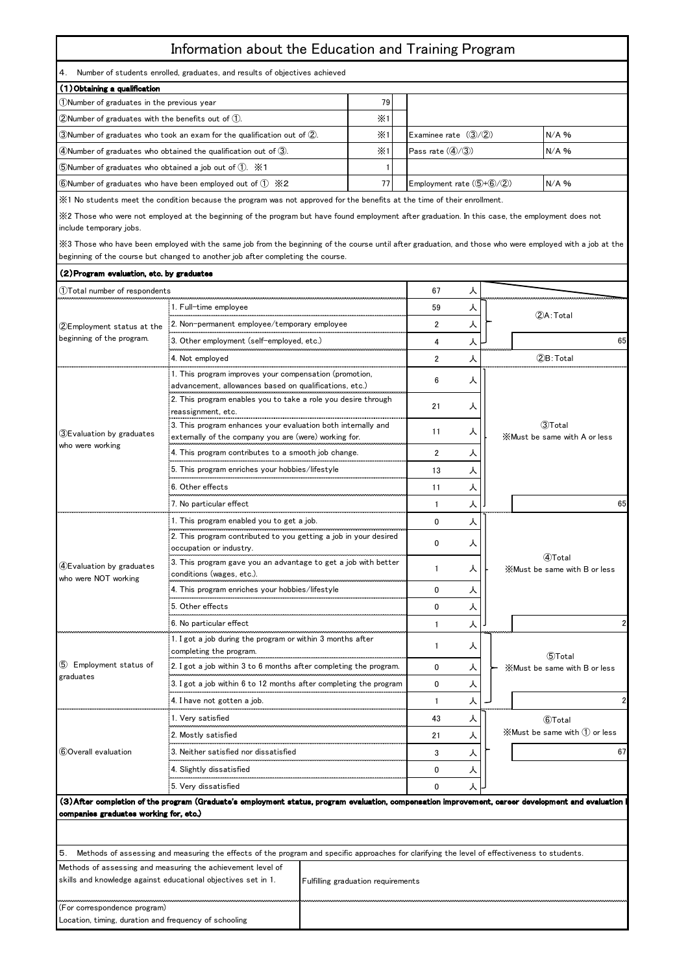## Information about the Education and Training Program

4. Number of students enrolled, graduates, and results of objectives achieved

| (1) Obtaining a qualification                                                        |            |  |                                         |         |  |  |  |
|--------------------------------------------------------------------------------------|------------|--|-----------------------------------------|---------|--|--|--|
| (1) Number of graduates in the previous year                                         | 79 I       |  |                                         |         |  |  |  |
| $(2)$ Number of graduates with the benefits out of $(1)$ .                           | $\times 1$ |  |                                         |         |  |  |  |
| 3) Number of graduates who took an exam for the qualification out of (2).            | $\times 1$ |  | Examinee rate $(3/(2))$                 | $N/A$ % |  |  |  |
| $\phi$ (4) Number of graduates who obtained the qualification out of $\phi$ .        | $\times 1$ |  | Pass rate $(\mathcal{A}/\mathcal{B})$   | $N/A$ % |  |  |  |
| $\bullet$ SNumber of graduates who obtained a job out of $(1)$ . $\cdot$ X1          |            |  |                                         |         |  |  |  |
| 6) Number of graduates who have been employed out of $(1)$ $\cdot$ $\cdot$ $\cdot$ 2 |            |  | Employment rate $(\text{5+6}/\text{2})$ | $N/A$ % |  |  |  |

※1 No students meet the condition because the program was not approved for the benefits at the time of their enrollment.

※2 Those who were not employed at the beginning of the program but have found employment after graduation. In this case, the employment does not include temporary jobs.

※3 Those who have been employed with the same job from the beginning of the course until after graduation, and those who were employed with a job at the beginning of the course but changed to another job after completing the course.

| (2) Program evaluation, etc. by graduates                                                                                                                          |                                                                                                                                              |             |                        |   |                                                                                                                                                   |  |  |
|--------------------------------------------------------------------------------------------------------------------------------------------------------------------|----------------------------------------------------------------------------------------------------------------------------------------------|-------------|------------------------|---|---------------------------------------------------------------------------------------------------------------------------------------------------|--|--|
| 1)Total number of respondents                                                                                                                                      |                                                                                                                                              | 67          | ᄉ                      |   |                                                                                                                                                   |  |  |
|                                                                                                                                                                    | 1. Full-time employee                                                                                                                        | 59          | 人                      |   |                                                                                                                                                   |  |  |
| 2Employment status at the<br>beginning of the program.                                                                                                             | 2. Non-permanent employee/temporary employee                                                                                                 |             | $\overline{2}$         | 人 | (2)A: Total                                                                                                                                       |  |  |
|                                                                                                                                                                    | 3. Other employment (self-employed, etc.)                                                                                                    |             | 4                      | 人 | 65                                                                                                                                                |  |  |
|                                                                                                                                                                    | 4. Not employed                                                                                                                              |             | $\overline{2}$         | 人 | 2B: Total                                                                                                                                         |  |  |
|                                                                                                                                                                    | 1. This program improves your compensation (promotion,                                                                                       |             |                        |   |                                                                                                                                                   |  |  |
|                                                                                                                                                                    | advancement, allowances based on qualifications, etc.)                                                                                       |             | 6<br>21                | ᄉ |                                                                                                                                                   |  |  |
|                                                                                                                                                                    | 2. This program enables you to take a role you desire through                                                                                |             |                        | ᄉ |                                                                                                                                                   |  |  |
|                                                                                                                                                                    | reassignment, etc.                                                                                                                           |             |                        |   |                                                                                                                                                   |  |  |
| 3)Evaluation by graduates                                                                                                                                          | 3. This program enhances your evaluation both intemally and                                                                                  |             | 11                     | ᄉ | 3Total                                                                                                                                            |  |  |
| who were working                                                                                                                                                   | externally of the company you are (were) working for.                                                                                        |             |                        |   | X Must be same with A or less                                                                                                                     |  |  |
|                                                                                                                                                                    | 4. This program contributes to a smooth job change.                                                                                          |             | $\overline{2}$         | ᄉ |                                                                                                                                                   |  |  |
|                                                                                                                                                                    | 5. This program enriches your hobbies/lifestyle                                                                                              |             | 13                     | ᄉ |                                                                                                                                                   |  |  |
|                                                                                                                                                                    | 6. Other effects                                                                                                                             |             | 11                     | 人 |                                                                                                                                                   |  |  |
|                                                                                                                                                                    | 7. No particular effect                                                                                                                      |             | 1                      | 人 | 65                                                                                                                                                |  |  |
|                                                                                                                                                                    | 1. This program enabled you to get a job.                                                                                                    | $\mathbf 0$ | 人                      |   |                                                                                                                                                   |  |  |
|                                                                                                                                                                    | 2. This program contributed to you getting a job in your desired                                                                             |             |                        |   |                                                                                                                                                   |  |  |
|                                                                                                                                                                    | occupation or industry.                                                                                                                      |             | 0<br>-1<br>$\mathbf 0$ | ᄉ |                                                                                                                                                   |  |  |
| 4)Evaluation by graduates                                                                                                                                          | 3. This program gave you an advantage to get a job with better                                                                               |             |                        | ᄉ | 4)Total<br>X Must be same with B or less                                                                                                          |  |  |
| who were NOT working                                                                                                                                               | conditions (wages, etc.).                                                                                                                    |             |                        |   |                                                                                                                                                   |  |  |
|                                                                                                                                                                    | 4. This program enriches your hobbies/lifestyle                                                                                              |             |                        | ᄉ |                                                                                                                                                   |  |  |
|                                                                                                                                                                    | 5. Other effects                                                                                                                             |             | $\Omega$               | 人 |                                                                                                                                                   |  |  |
|                                                                                                                                                                    | 6. No particular effect                                                                                                                      |             | $\mathbf{1}$           | 人 |                                                                                                                                                   |  |  |
|                                                                                                                                                                    | 1. I got a job during the program or within 3 months after                                                                                   |             | 1                      | ᄉ |                                                                                                                                                   |  |  |
|                                                                                                                                                                    | completing the program.                                                                                                                      |             |                        |   | 5)Total                                                                                                                                           |  |  |
| (5) Employment status of<br>graduates                                                                                                                              | 2. I got a job within 3 to 6 months after completing the program.                                                                            |             | 0                      | 人 | X Must be same with B or less                                                                                                                     |  |  |
|                                                                                                                                                                    | 3. I got a job within 6 to 12 months after completing the program                                                                            |             | $\mathbf{0}$           | 人 |                                                                                                                                                   |  |  |
|                                                                                                                                                                    | 4. I have not gotten a job.                                                                                                                  |             | $\mathbf{1}$           | ᄉ |                                                                                                                                                   |  |  |
|                                                                                                                                                                    | 1. Very satisfied                                                                                                                            |             | 43                     | ᄉ | 6Total                                                                                                                                            |  |  |
|                                                                                                                                                                    | 2. Mostly satisfied                                                                                                                          |             | 21                     | 人 | $\mathbb X$ Must be same with $\mathbb D$ or less                                                                                                 |  |  |
| 600verall evaluation                                                                                                                                               | 3. Neither satisfied nor dissatisfied                                                                                                        |             | 3                      | 人 | 67                                                                                                                                                |  |  |
|                                                                                                                                                                    | 4. Slightly dissatisfied                                                                                                                     |             | $\mathbf{0}$           | ᄉ |                                                                                                                                                   |  |  |
|                                                                                                                                                                    | 5. Very dissatisfied                                                                                                                         |             | ᄉ                      |   |                                                                                                                                                   |  |  |
|                                                                                                                                                                    |                                                                                                                                              |             |                        |   | (3)After completion of the program (Graduate's employment status, program evaluation, compensation improvement, career development and evaluation |  |  |
| companies graduates working for, etc.)                                                                                                                             |                                                                                                                                              |             |                        |   |                                                                                                                                                   |  |  |
|                                                                                                                                                                    |                                                                                                                                              |             |                        |   |                                                                                                                                                   |  |  |
|                                                                                                                                                                    |                                                                                                                                              |             |                        |   |                                                                                                                                                   |  |  |
| 5.                                                                                                                                                                 | Methods of assessing and measuring the effects of the program and specific approaches for clarifying the level of effectiveness to students. |             |                        |   |                                                                                                                                                   |  |  |
| Methods of assessing and measuring the achievement level of<br>skills and knowledge against educational objectives set in 1.<br>Fulfilling graduation requirements |                                                                                                                                              |             |                        |   |                                                                                                                                                   |  |  |
| (For correspondence program)                                                                                                                                       |                                                                                                                                              |             |                        |   |                                                                                                                                                   |  |  |
| Location, timing, duration and frequency of schooling                                                                                                              |                                                                                                                                              |             |                        |   |                                                                                                                                                   |  |  |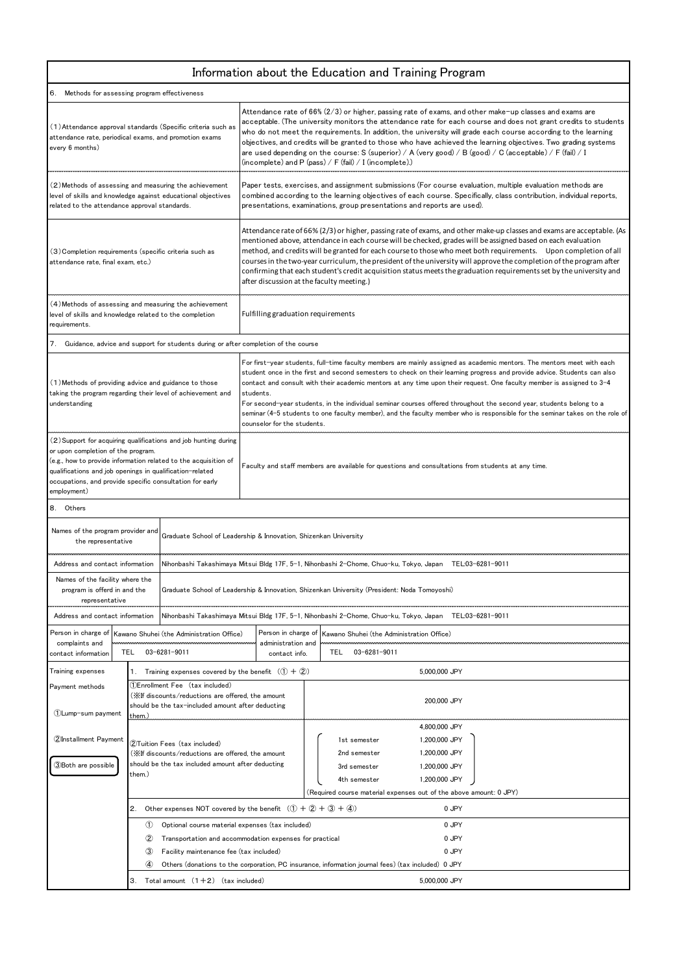## Information about the Education and Training Program

| Methods for assessing program effectiveness                                                                                                                                                                                                                                                                     |                                                                                                                                                                                                                       |                                                                                                                                                                                                                                                                                                                                                                                                                                                                                                                                                                                                                                                                                 |                                                                                                         |                                                                                                                                                                                                                                                                                                                                                                                                                                                                                                                                                                                                                                                        |  |                                                                                                    |                                                 |  |  |  |
|-----------------------------------------------------------------------------------------------------------------------------------------------------------------------------------------------------------------------------------------------------------------------------------------------------------------|-----------------------------------------------------------------------------------------------------------------------------------------------------------------------------------------------------------------------|---------------------------------------------------------------------------------------------------------------------------------------------------------------------------------------------------------------------------------------------------------------------------------------------------------------------------------------------------------------------------------------------------------------------------------------------------------------------------------------------------------------------------------------------------------------------------------------------------------------------------------------------------------------------------------|---------------------------------------------------------------------------------------------------------|--------------------------------------------------------------------------------------------------------------------------------------------------------------------------------------------------------------------------------------------------------------------------------------------------------------------------------------------------------------------------------------------------------------------------------------------------------------------------------------------------------------------------------------------------------------------------------------------------------------------------------------------------------|--|----------------------------------------------------------------------------------------------------|-------------------------------------------------|--|--|--|
| (1) Attendance approval standards (Specific criteria such as<br>attendance rate, periodical exams, and promotion exams<br>every 6 months)                                                                                                                                                                       |                                                                                                                                                                                                                       |                                                                                                                                                                                                                                                                                                                                                                                                                                                                                                                                                                                                                                                                                 |                                                                                                         | Attendance rate of $66\%$ (2/3) or higher, passing rate of exams, and other make-up classes and exams are<br>acceptable. (The university monitors the attendance rate for each course and does not grant credits to students<br>who do not meet the requirements. In addition, the university will grade each course according to the learning<br>objectives, and credits will be granted to those who have achieved the learning objectives. Two grading systems<br>are used depending on the course: S (superior) / A (very good) / B (good) / C (acceptable) / F (fail) / I<br>(incomplete) and P (pass) / F (fail) / I (incomplete).)              |  |                                                                                                    |                                                 |  |  |  |
| (2) Methods of assessing and measuring the achievement<br>level of skills and knowledge against educational objectives<br>related to the attendance approval standards.                                                                                                                                         |                                                                                                                                                                                                                       |                                                                                                                                                                                                                                                                                                                                                                                                                                                                                                                                                                                                                                                                                 |                                                                                                         | Paper tests, exercises, and assignment submissions (For course evaluation, multiple evaluation methods are<br>combined according to the learning objectives of each course. Specifically, class contribution, individual reports,<br>presentations, examinations, group presentations and reports are used).                                                                                                                                                                                                                                                                                                                                           |  |                                                                                                    |                                                 |  |  |  |
| (3) Completion requirements (specific criteria such as<br>attendance rate, final exam, etc.)                                                                                                                                                                                                                    |                                                                                                                                                                                                                       |                                                                                                                                                                                                                                                                                                                                                                                                                                                                                                                                                                                                                                                                                 |                                                                                                         | Attendance rate of 66% (2/3) or higher, passing rate of exams, and other make-up classes and exams are acceptable. (As<br>mentioned above, attendance in each course will be checked, grades will be assigned based on each evaluation<br>method, and credits will be granted for each course to those who meet both requirements. Upon completion of all<br>courses in the two-year curriculum, the president of the university will approve the completion of the program after<br>confirming that each student's credit acquisition status meets the graduation requirements set by the university and<br>after discussion at the faculty meeting.) |  |                                                                                                    |                                                 |  |  |  |
| (4) Methods of assessing and measuring the achievement<br>level of skills and knowledge related to the completion<br>requirements.                                                                                                                                                                              |                                                                                                                                                                                                                       |                                                                                                                                                                                                                                                                                                                                                                                                                                                                                                                                                                                                                                                                                 | Fulfilling graduation requirements                                                                      |                                                                                                                                                                                                                                                                                                                                                                                                                                                                                                                                                                                                                                                        |  |                                                                                                    |                                                 |  |  |  |
|                                                                                                                                                                                                                                                                                                                 |                                                                                                                                                                                                                       | 7. Guidance, advice and support for students during or after completion of the course                                                                                                                                                                                                                                                                                                                                                                                                                                                                                                                                                                                           |                                                                                                         |                                                                                                                                                                                                                                                                                                                                                                                                                                                                                                                                                                                                                                                        |  |                                                                                                    |                                                 |  |  |  |
| (1) Methods of providing advice and guidance to those<br>taking the program regarding their level of achievement and<br>understanding                                                                                                                                                                           |                                                                                                                                                                                                                       | For first-year students, full-time faculty members are mainly assigned as academic mentors. The mentors meet with each<br>student once in the first and second semesters to check on their learning progress and provide advice. Students can also<br>contact and consult with their academic mentors at any time upon their request. One faculty member is assigned to 3-4<br>students.<br>For second-year students, in the individual seminar courses offered throughout the second year, students belong to a<br>seminar (4–5 students to one faculty member), and the faculty member who is responsible for the seminar takes on the role of<br>counselor for the students. |                                                                                                         |                                                                                                                                                                                                                                                                                                                                                                                                                                                                                                                                                                                                                                                        |  |                                                                                                    |                                                 |  |  |  |
| (2) Support for acquiring qualifications and job hunting during<br>or upon completion of the program.<br>(e.g., how to provide information related to the acquisition of<br>qualifications and job openings in qualification-related<br>occupations, and provide specific consultation for early<br>employment) |                                                                                                                                                                                                                       |                                                                                                                                                                                                                                                                                                                                                                                                                                                                                                                                                                                                                                                                                 | Faculty and staff members are available for questions and consultations from students at any time.      |                                                                                                                                                                                                                                                                                                                                                                                                                                                                                                                                                                                                                                                        |  |                                                                                                    |                                                 |  |  |  |
| 8. Others                                                                                                                                                                                                                                                                                                       |                                                                                                                                                                                                                       |                                                                                                                                                                                                                                                                                                                                                                                                                                                                                                                                                                                                                                                                                 |                                                                                                         |                                                                                                                                                                                                                                                                                                                                                                                                                                                                                                                                                                                                                                                        |  |                                                                                                    |                                                 |  |  |  |
| Names of the program provider and<br>the representative                                                                                                                                                                                                                                                         |                                                                                                                                                                                                                       |                                                                                                                                                                                                                                                                                                                                                                                                                                                                                                                                                                                                                                                                                 | Graduate School of Leadership & Innovation, Shizenkan University                                        |                                                                                                                                                                                                                                                                                                                                                                                                                                                                                                                                                                                                                                                        |  |                                                                                                    |                                                 |  |  |  |
| Address and contact information                                                                                                                                                                                                                                                                                 |                                                                                                                                                                                                                       |                                                                                                                                                                                                                                                                                                                                                                                                                                                                                                                                                                                                                                                                                 | Nihonbashi Takashimaya Mitsui Bldg 17F, 5-1, Nihonbashi 2-Chome, Chuo-ku, Tokyo, Japan TEL:03-6281-9011 |                                                                                                                                                                                                                                                                                                                                                                                                                                                                                                                                                                                                                                                        |  |                                                                                                    |                                                 |  |  |  |
| Names of the facility where the<br>program is offerd in and the<br>representative                                                                                                                                                                                                                               |                                                                                                                                                                                                                       | Graduate School of Leadership & Innovation, Shizenkan University (President: Noda Tomoyoshi)                                                                                                                                                                                                                                                                                                                                                                                                                                                                                                                                                                                    |                                                                                                         |                                                                                                                                                                                                                                                                                                                                                                                                                                                                                                                                                                                                                                                        |  |                                                                                                    |                                                 |  |  |  |
| Address and contact information                                                                                                                                                                                                                                                                                 |                                                                                                                                                                                                                       | Nihonbashi Takashimaya Mitsui Bldg 17F, 5-1, Nihonbashi 2-Chome, Chuo-ku, Tokyo, Japan TEL:03-6281-9011                                                                                                                                                                                                                                                                                                                                                                                                                                                                                                                                                                         |                                                                                                         |                                                                                                                                                                                                                                                                                                                                                                                                                                                                                                                                                                                                                                                        |  |                                                                                                    |                                                 |  |  |  |
| Person in charge of                                                                                                                                                                                                                                                                                             |                                                                                                                                                                                                                       | Kawano Shuhei (the Administration Office)                                                                                                                                                                                                                                                                                                                                                                                                                                                                                                                                                                                                                                       | Person in charge of                                                                                     |                                                                                                                                                                                                                                                                                                                                                                                                                                                                                                                                                                                                                                                        |  | Kawano Shuhei (the Administration Office)                                                          |                                                 |  |  |  |
| complaints and<br>contact information                                                                                                                                                                                                                                                                           | 03-6281-9011<br>TEL                                                                                                                                                                                                   |                                                                                                                                                                                                                                                                                                                                                                                                                                                                                                                                                                                                                                                                                 | administration and<br>contact info.                                                                     |                                                                                                                                                                                                                                                                                                                                                                                                                                                                                                                                                                                                                                                        |  | 03-6281-9011<br>TEL                                                                                |                                                 |  |  |  |
| Training expenses                                                                                                                                                                                                                                                                                               |                                                                                                                                                                                                                       | 1. Training expenses covered by the benefit $(1 + 2)$                                                                                                                                                                                                                                                                                                                                                                                                                                                                                                                                                                                                                           |                                                                                                         |                                                                                                                                                                                                                                                                                                                                                                                                                                                                                                                                                                                                                                                        |  |                                                                                                    | 5,000,000 JPY                                   |  |  |  |
| Payment methods<br>1) Lump-sum payment                                                                                                                                                                                                                                                                          | (1)Enrollment Fee (tax included)<br>(※If discounts/reductions are offered, the amount<br>should be the tax-included amount after deducting                                                                            |                                                                                                                                                                                                                                                                                                                                                                                                                                                                                                                                                                                                                                                                                 |                                                                                                         |                                                                                                                                                                                                                                                                                                                                                                                                                                                                                                                                                                                                                                                        |  | 200,000 JPY                                                                                        |                                                 |  |  |  |
| 2Installment Payment                                                                                                                                                                                                                                                                                            | them.)<br>2Tuition Fees (tax included)<br>(※If discounts/reductions are offered, the amount                                                                                                                           |                                                                                                                                                                                                                                                                                                                                                                                                                                                                                                                                                                                                                                                                                 |                                                                                                         |                                                                                                                                                                                                                                                                                                                                                                                                                                                                                                                                                                                                                                                        |  | 1st semester<br>2nd semester                                                                       | 4,800,000 JPY<br>1,200,000 JPY<br>1,200,000 JPY |  |  |  |
| should be the tax included amount after deducting<br>3)Both are possible<br>them.)                                                                                                                                                                                                                              |                                                                                                                                                                                                                       |                                                                                                                                                                                                                                                                                                                                                                                                                                                                                                                                                                                                                                                                                 |                                                                                                         |                                                                                                                                                                                                                                                                                                                                                                                                                                                                                                                                                                                                                                                        |  | 3rd semester<br>4th semester<br>(Required course material expenses out of the above amount: 0 JPY) | 1,200,000 JPY<br>1,200,000 JPY                  |  |  |  |
|                                                                                                                                                                                                                                                                                                                 | Other expenses NOT covered by the benefit $(1) + (2) + (3) + (4)$<br>0 JPY<br>2.                                                                                                                                      |                                                                                                                                                                                                                                                                                                                                                                                                                                                                                                                                                                                                                                                                                 |                                                                                                         |                                                                                                                                                                                                                                                                                                                                                                                                                                                                                                                                                                                                                                                        |  |                                                                                                    |                                                 |  |  |  |
|                                                                                                                                                                                                                                                                                                                 | (1)<br>Optional course material expenses (tax included)<br>$\circled{2}$<br>Transportation and accommodation expenses for practical<br>$\circled{3}$<br>Facility maintenance fee (tax included)<br>$\left( 4 \right)$ |                                                                                                                                                                                                                                                                                                                                                                                                                                                                                                                                                                                                                                                                                 |                                                                                                         |                                                                                                                                                                                                                                                                                                                                                                                                                                                                                                                                                                                                                                                        |  |                                                                                                    | 0 JPY                                           |  |  |  |
|                                                                                                                                                                                                                                                                                                                 |                                                                                                                                                                                                                       |                                                                                                                                                                                                                                                                                                                                                                                                                                                                                                                                                                                                                                                                                 |                                                                                                         |                                                                                                                                                                                                                                                                                                                                                                                                                                                                                                                                                                                                                                                        |  |                                                                                                    | 0 JPY                                           |  |  |  |
|                                                                                                                                                                                                                                                                                                                 |                                                                                                                                                                                                                       |                                                                                                                                                                                                                                                                                                                                                                                                                                                                                                                                                                                                                                                                                 |                                                                                                         | 0 JPY<br>Others (donations to the corporation, PC insurance, information journal fees) (tax included) 0 JPY                                                                                                                                                                                                                                                                                                                                                                                                                                                                                                                                            |  |                                                                                                    |                                                 |  |  |  |
| 3. Total amount $(1+2)$ (tax included)                                                                                                                                                                                                                                                                          |                                                                                                                                                                                                                       |                                                                                                                                                                                                                                                                                                                                                                                                                                                                                                                                                                                                                                                                                 |                                                                                                         | 5,000,000 JPY                                                                                                                                                                                                                                                                                                                                                                                                                                                                                                                                                                                                                                          |  |                                                                                                    |                                                 |  |  |  |